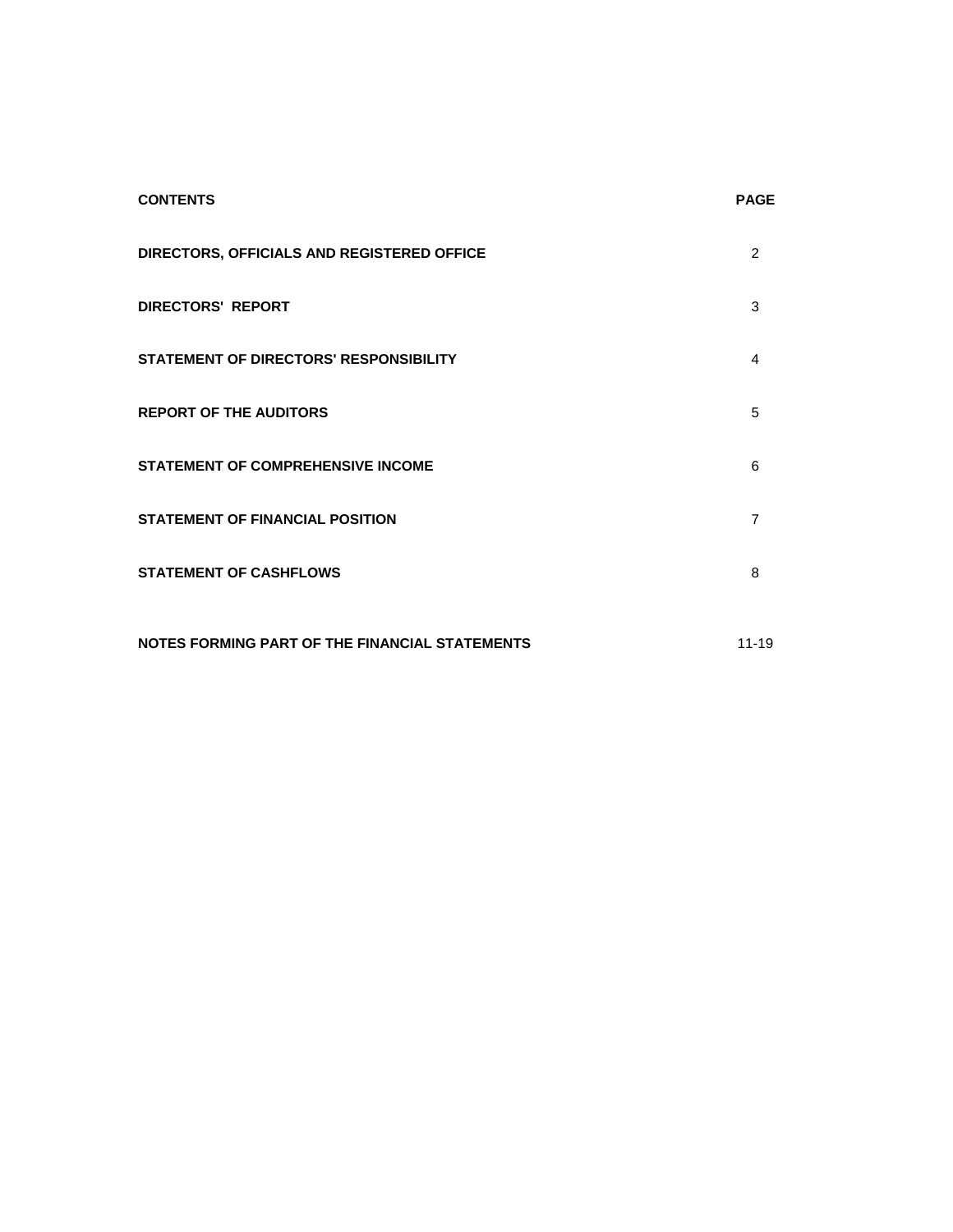| <b>CONTENTS</b>                                | <b>PAGE</b> |
|------------------------------------------------|-------------|
| DIRECTORS, OFFICIALS AND REGISTERED OFFICE     | 2           |
| <b>DIRECTORS' REPORT</b>                       | 3           |
| STATEMENT OF DIRECTORS' RESPONSIBILITY         | 4           |
| <b>REPORT OF THE AUDITORS</b>                  | 5           |
| <b>STATEMENT OF COMPREHENSIVE INCOME</b>       | 6           |
| <b>STATEMENT OF FINANCIAL POSITION</b>         | 7           |
| <b>STATEMENT OF CASHFLOWS</b>                  | 8           |
| NOTES FORMING PART OF THE FINANCIAL STATEMENTS | $11 - 19$   |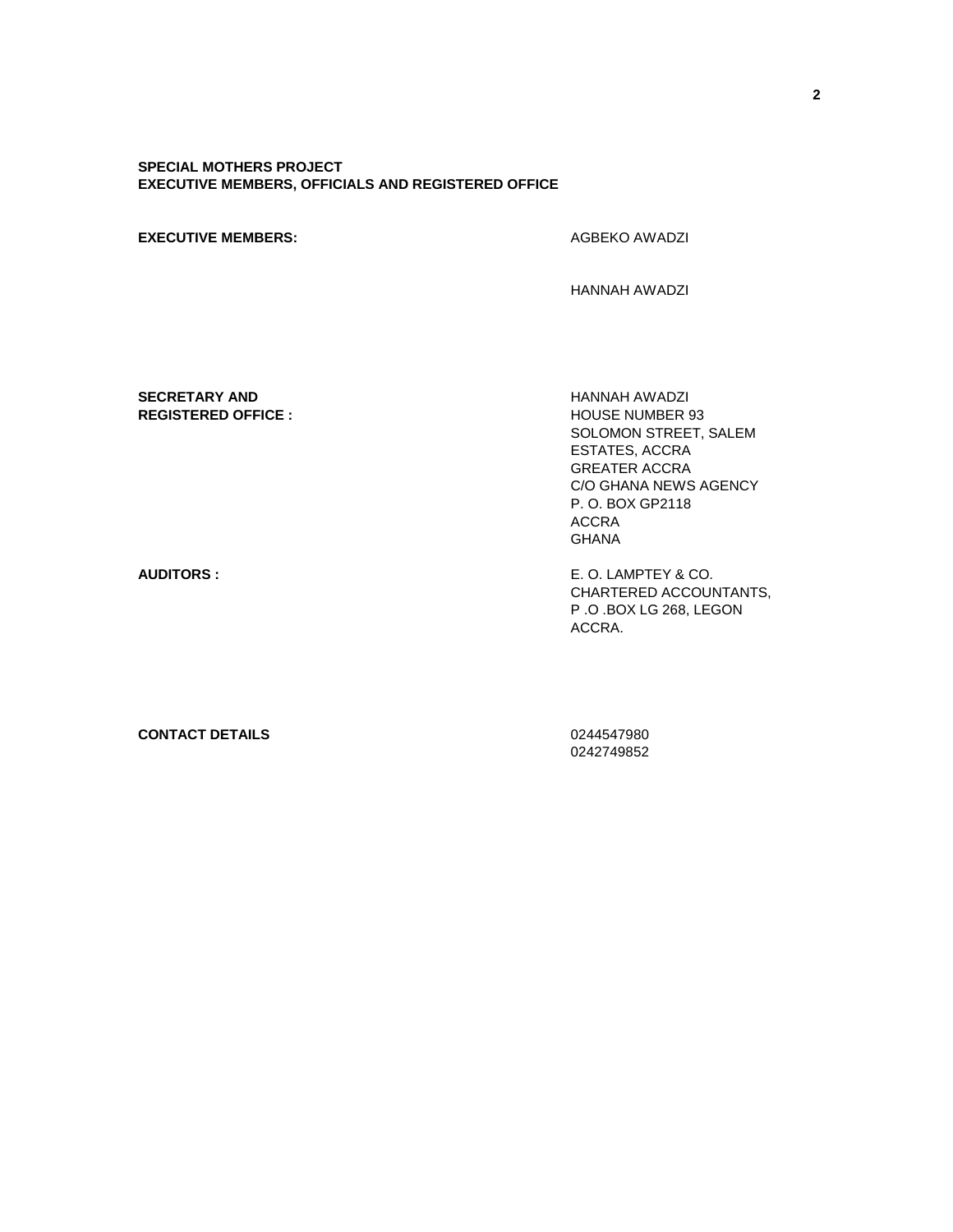## **SPECIAL MOTHERS PROJECT EXECUTIVE MEMBERS, OFFICIALS AND REGISTERED OFFICE**

#### **EXECUTIVE MEMBERS:** AGBEKO AWADZI

HANNAH AWADZI

## **SECRETARY AND** HANNAH AWADZI **REGISTERED OFFICE :**  $\qquad \qquad$  HOUSE NUMBER 93

SOLOMON STREET, SALEM ESTATES, ACCRA GREATER ACCRA C/O GHANA NEWS AGENCY P. O. BOX GP2118 ACCRA GHANA

**AUDITORS :** E. O. LAMPTEY & CO. CHARTERED ACCOUNTANTS, P .O .BOX LG 268, LEGON ACCRA.

#### **CONTACT DETAILS** 0244547980

0242749852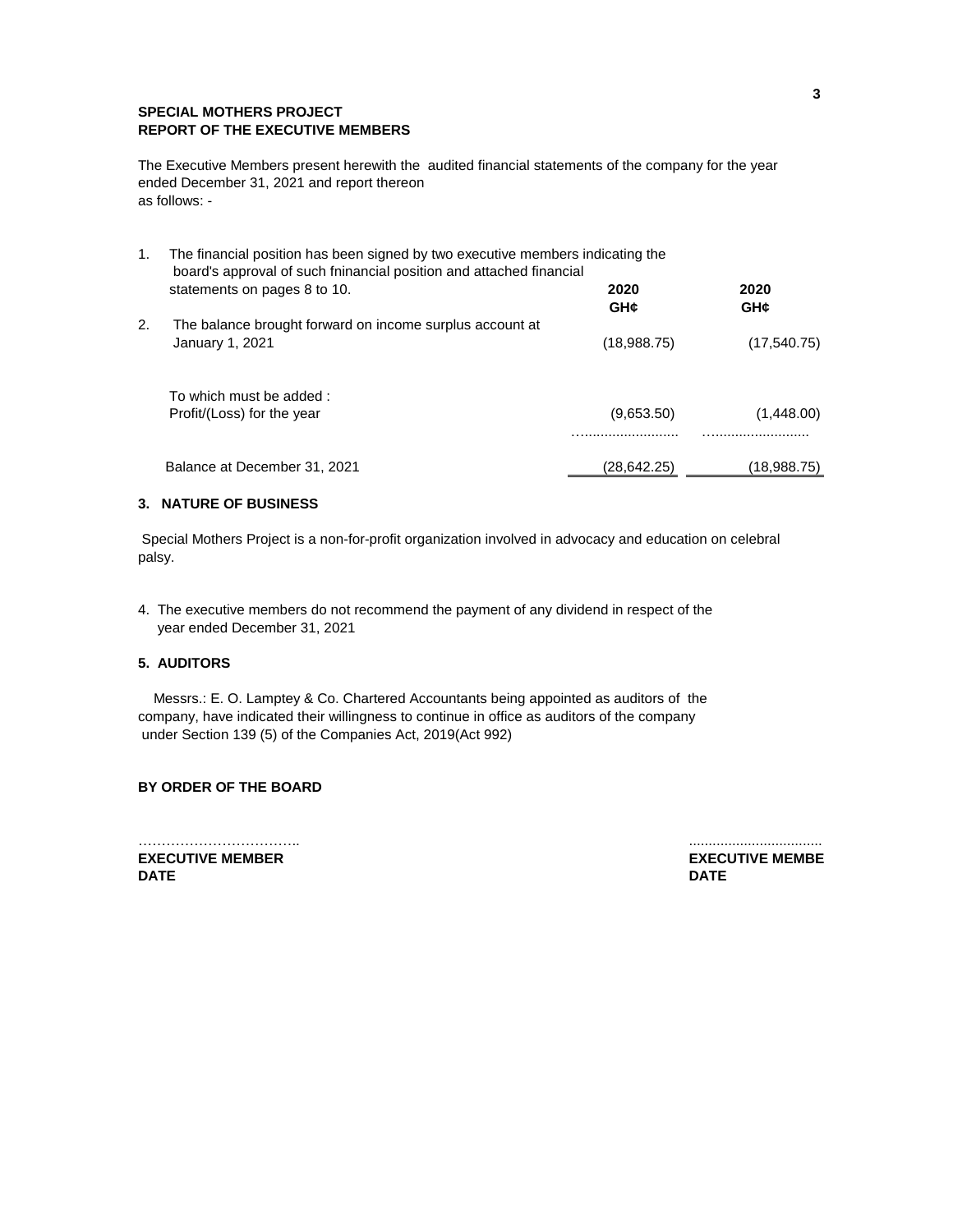# **SPECIAL MOTHERS PROJECT REPORT OF THE EXECUTIVE MEMBERS**

The Executive Members present herewith the audited financial statements of the company for the year ended December 31, 2021 and report thereon as follows: -

| The financial position has been signed by two executive members indicating the<br>1.<br>board's approval of such fninancial position and attached financial |                                                                                                                       |             |
|-------------------------------------------------------------------------------------------------------------------------------------------------------------|-----------------------------------------------------------------------------------------------------------------------|-------------|
|                                                                                                                                                             | 2020<br>GH¢                                                                                                           | 2020<br>GH¢ |
| The balance brought forward on income surplus account at                                                                                                    |                                                                                                                       |             |
| January 1, 2021                                                                                                                                             | (18,988.75)                                                                                                           | (17,540.75) |
|                                                                                                                                                             |                                                                                                                       |             |
|                                                                                                                                                             | (9,653.50)                                                                                                            | (1,448.00)  |
|                                                                                                                                                             |                                                                                                                       |             |
|                                                                                                                                                             | (28,642.25)                                                                                                           | (18,988.75) |
|                                                                                                                                                             | statements on pages 8 to 10.<br>To which must be added:<br>Profit/(Loss) for the year<br>Balance at December 31, 2021 |             |

## **3. NATURE OF BUSINESS**

 Special Mothers Project is a non-for-profit organization involved in advocacy and education on celebral palsy.

4. The executive members do not recommend the payment of any dividend in respect of the year ended December 31, 2021

# **5. AUDITORS**

 Messrs.: E. O. Lamptey & Co. Chartered Accountants being appointed as auditors of the company, have indicated their willingness to continue in office as auditors of the company under Section 139 (5) of the Companies Act, 2019(Act 992)

# **BY ORDER OF THE BOARD**

…………………………….. .................................. **EXECUTIVE MEMBER EXECUTIVE MEMBER DATE DATE**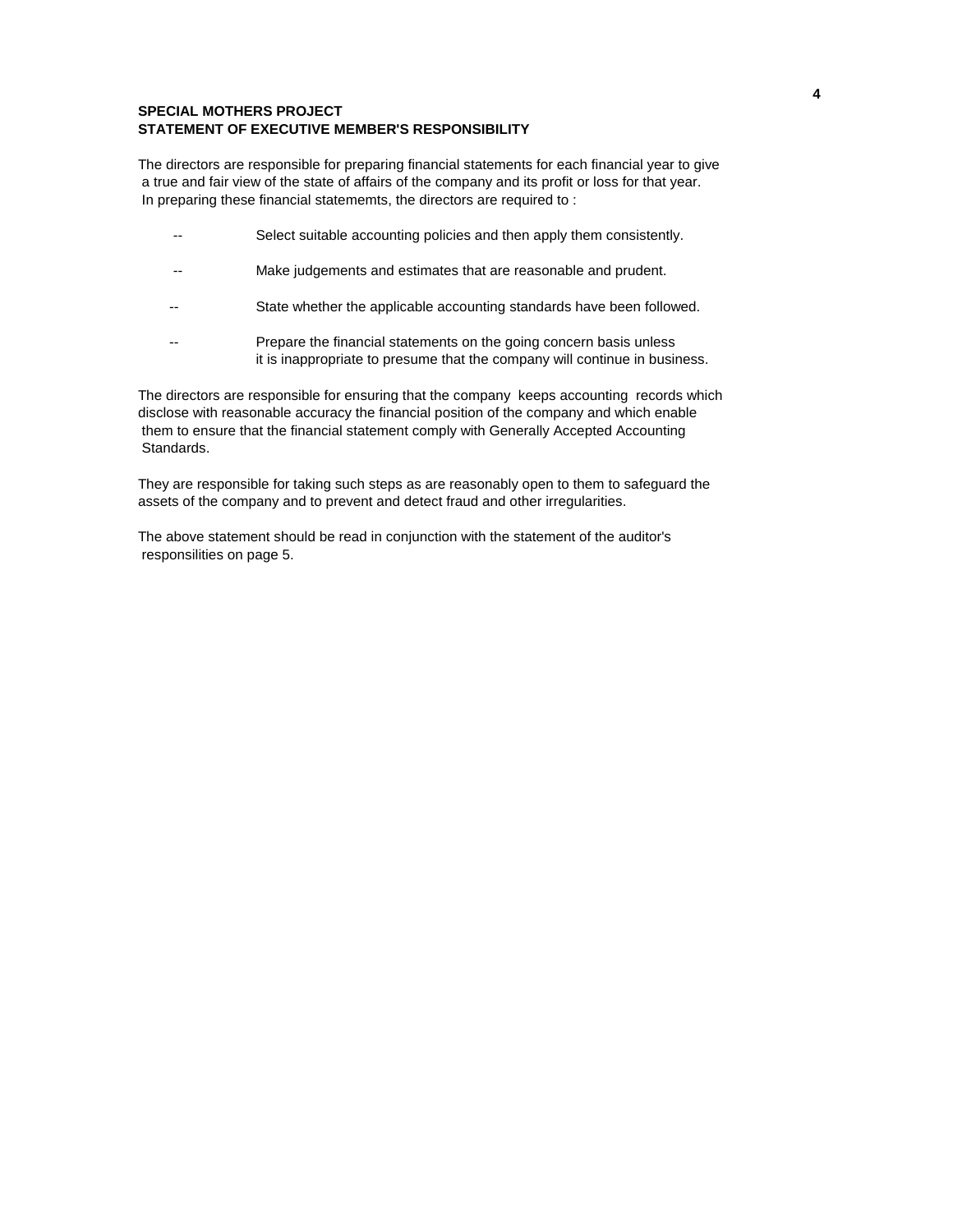## **SPECIAL MOTHERS PROJECT STATEMENT OF EXECUTIVE MEMBER'S RESPONSIBILITY**

The directors are responsible for preparing financial statements for each financial year to give a true and fair view of the state of affairs of the company and its profit or loss for that year. In preparing these financial statememts, the directors are required to :

- -- Select suitable accounting policies and then apply them consistently.
- -- Make judgements and estimates that are reasonable and prudent.
- -- State whether the applicable accounting standards have been followed.
- -- Prepare the financial statements on the going concern basis unless it is inappropriate to presume that the company will continue in business.

The directors are responsible for ensuring that the company keeps accounting records which disclose with reasonable accuracy the financial position of the company and which enable them to ensure that the financial statement comply with Generally Accepted Accounting Standards.

They are responsible for taking such steps as are reasonably open to them to safeguard the assets of the company and to prevent and detect fraud and other irregularities.

The above statement should be read in conjunction with the statement of the auditor's responsilities on page 5.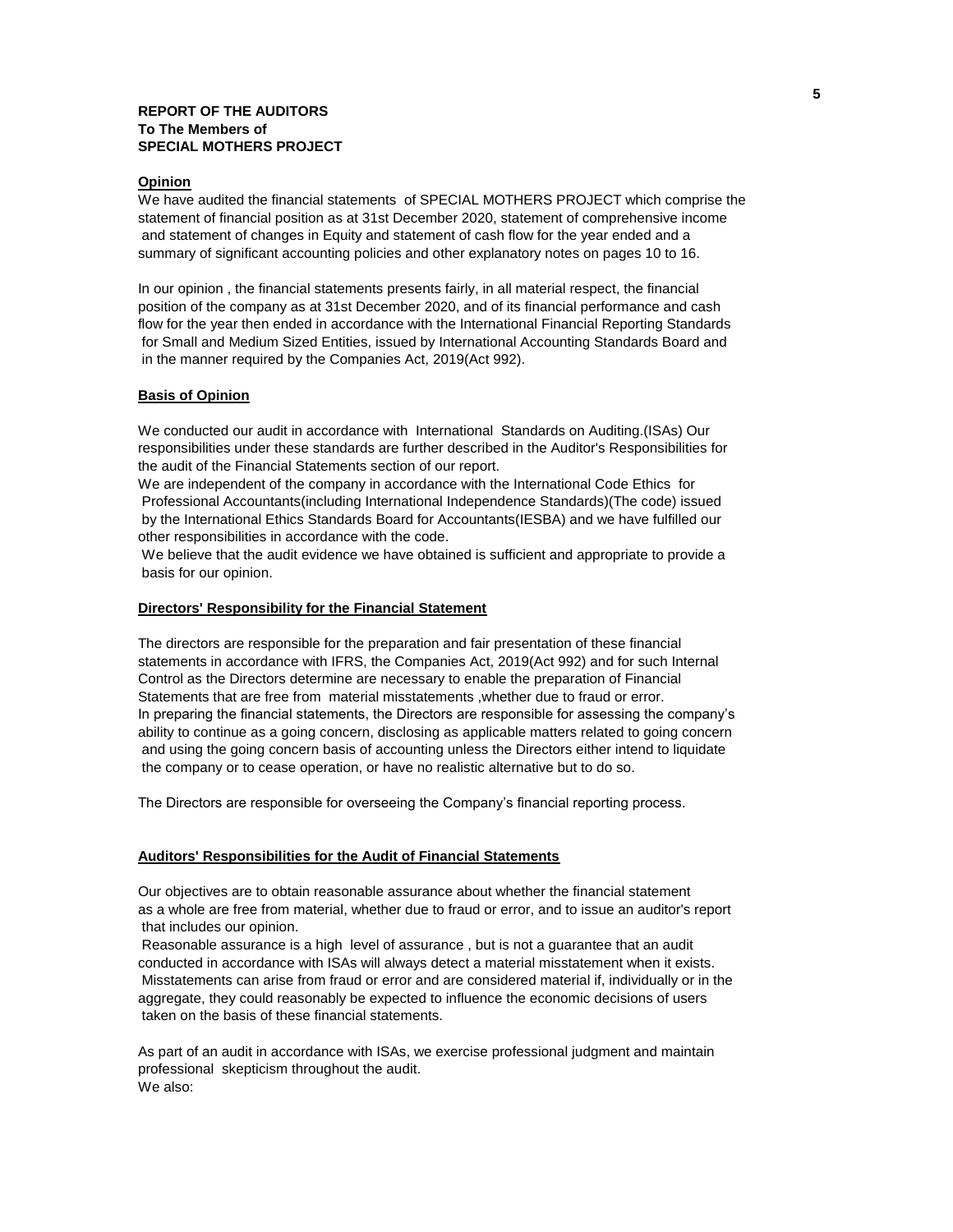#### **REPORT OF THE AUDITORS To The Members of SPECIAL MOTHERS PROJECT**

#### **Opinion**

We have audited the financial statements of SPECIAL MOTHERS PROJECT which comprise the statement of financial position as at 31st December 2020, statement of comprehensive income and statement of changes in Equity and statement of cash flow for the year ended and a summary of significant accounting policies and other explanatory notes on pages 10 to 16.

In our opinion , the financial statements presents fairly, in all material respect, the financial position of the company as at 31st December 2020, and of its financial performance and cash flow for the year then ended in accordance with the International Financial Reporting Standards for Small and Medium Sized Entities, issued by International Accounting Standards Board and in the manner required by the Companies Act, 2019(Act 992).

### **Basis of Opinion**

We conducted our audit in accordance with International Standards on Auditing.(ISAs) Our responsibilities under these standards are further described in the Auditor's Responsibilities for the audit of the Financial Statements section of our report.

We are independent of the company in accordance with the International Code Ethics for Professional Accountants(including International Independence Standards)(The code) issued by the International Ethics Standards Board for Accountants(IESBA) and we have fulfilled our other responsibilities in accordance with the code.

 We believe that the audit evidence we have obtained is sufficient and appropriate to provide a basis for our opinion.

#### **Directors' Responsibility for the Financial Statement**

The directors are responsible for the preparation and fair presentation of these financial statements in accordance with IFRS, the Companies Act, 2019(Act 992) and for such Internal Control as the Directors determine are necessary to enable the preparation of Financial Statements that are free from material misstatements ,whether due to fraud or error. In preparing the financial statements, the Directors are responsible for assessing the company's ability to continue as a going concern, disclosing as applicable matters related to going concern and using the going concern basis of accounting unless the Directors either intend to liquidate the company or to cease operation, or have no realistic alternative but to do so.

The Directors are responsible for overseeing the Company's financial reporting process.

## **Auditors' Responsibilities for the Audit of Financial Statements**

Our objectives are to obtain reasonable assurance about whether the financial statement as a whole are free from material, whether due to fraud or error, and to issue an auditor's report that includes our opinion.

 Reasonable assurance is a high level of assurance , but is not a guarantee that an audit conducted in accordance with ISAs will always detect a material misstatement when it exists. Misstatements can arise from fraud or error and are considered material if, individually or in the aggregate, they could reasonably be expected to influence the economic decisions of users taken on the basis of these financial statements.

As part of an audit in accordance with ISAs, we exercise professional judgment and maintain professional skepticism throughout the audit. We also: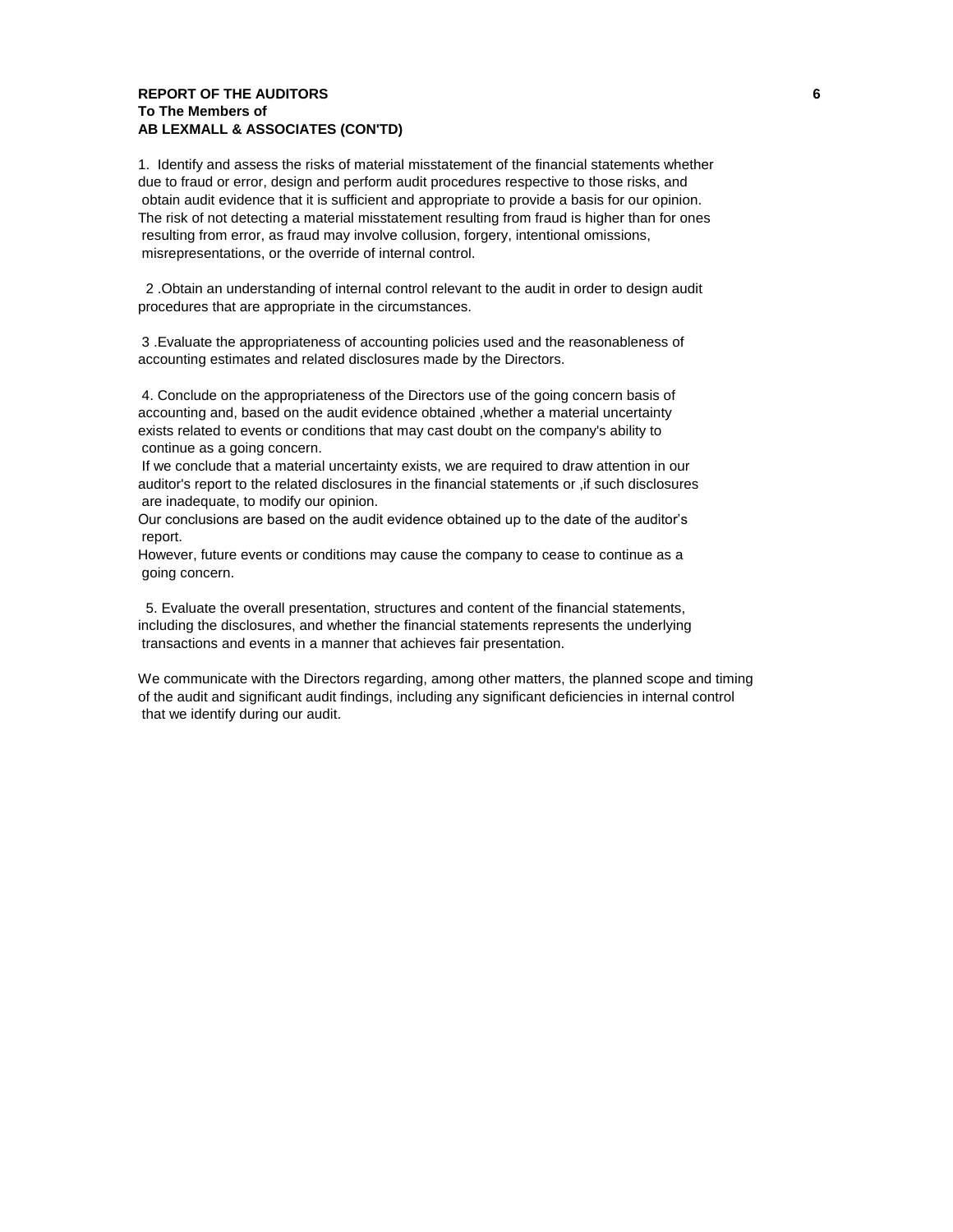# **REPORT OF THE AUDITORS 6 To The Members of AB LEXMALL & ASSOCIATES (CON'TD)**

1. Identify and assess the risks of material misstatement of the financial statements whether due to fraud or error, design and perform audit procedures respective to those risks, and obtain audit evidence that it is sufficient and appropriate to provide a basis for our opinion. The risk of not detecting a material misstatement resulting from fraud is higher than for ones resulting from error, as fraud may involve collusion, forgery, intentional omissions, misrepresentations, or the override of internal control.

 2 .Obtain an understanding of internal control relevant to the audit in order to design audit procedures that are appropriate in the circumstances.

 3 .Evaluate the appropriateness of accounting policies used and the reasonableness of accounting estimates and related disclosures made by the Directors.

 4. Conclude on the appropriateness of the Directors use of the going concern basis of accounting and, based on the audit evidence obtained ,whether a material uncertainty exists related to events or conditions that may cast doubt on the company's ability to continue as a going concern.

 If we conclude that a material uncertainty exists, we are required to draw attention in our auditor's report to the related disclosures in the financial statements or ,if such disclosures are inadequate, to modify our opinion.

Our conclusions are based on the audit evidence obtained up to the date of the auditor's report.

However, future events or conditions may cause the company to cease to continue as a going concern.

 5. Evaluate the overall presentation, structures and content of the financial statements, including the disclosures, and whether the financial statements represents the underlying transactions and events in a manner that achieves fair presentation.

We communicate with the Directors regarding, among other matters, the planned scope and timing of the audit and significant audit findings, including any significant deficiencies in internal control that we identify during our audit.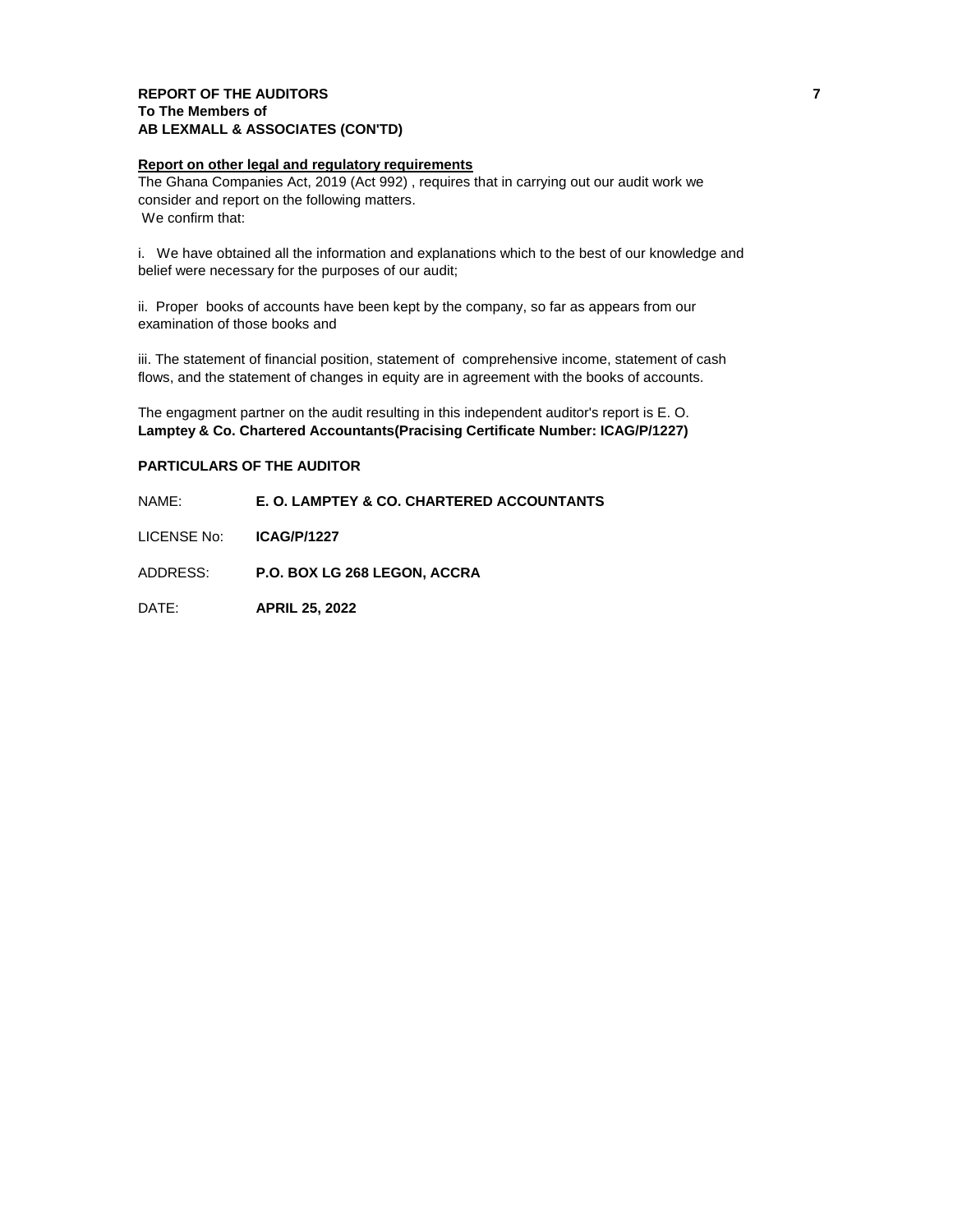# **REPORT OF THE AUDITORS 7 To The Members of AB LEXMALL & ASSOCIATES (CON'TD)**

## **Report on other legal and regulatory requirements**

The Ghana Companies Act, 2019 (Act 992) , requires that in carrying out our audit work we consider and report on the following matters. We confirm that:

i. We have obtained all the information and explanations which to the best of our knowledge and belief were necessary for the purposes of our audit;

ii. Proper books of accounts have been kept by the company, so far as appears from our examination of those books and

iii. The statement of financial position, statement of comprehensive income, statement of cash flows, and the statement of changes in equity are in agreement with the books of accounts.

The engagment partner on the audit resulting in this independent auditor's report is E. O. **Lamptey & Co. Chartered Accountants(Pracising Certificate Number: ICAG/P/1227)**

# **PARTICULARS OF THE AUDITOR**

## NAME: **E. O. LAMPTEY & CO. CHARTERED ACCOUNTANTS**

LICENSE No: **ICAG/P/1227**

ADDRESS: **P.O. BOX LG 268 LEGON, ACCRA**

DATE: **APRIL 25, 2022**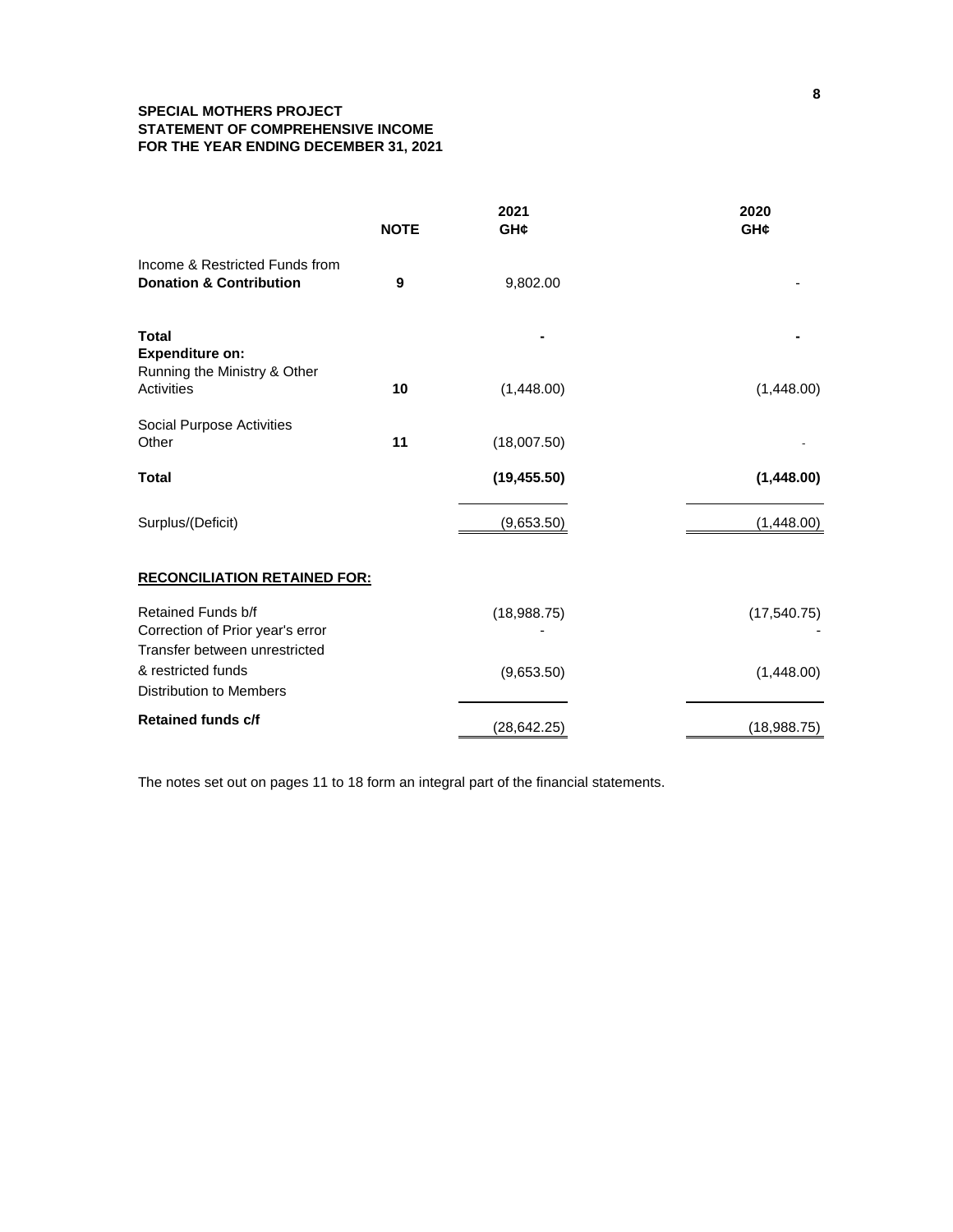# **SPECIAL MOTHERS PROJECT STATEMENT OF COMPREHENSIVE INCOME FOR THE YEAR ENDING DECEMBER 31, 2021**

|                                                                        | <b>NOTE</b> | 2021<br>GH¢  | 2020<br>GH¢  |
|------------------------------------------------------------------------|-------------|--------------|--------------|
| Income & Restricted Funds from<br><b>Donation &amp; Contribution</b>   | 9           | 9,802.00     |              |
| <b>Total</b><br><b>Expenditure on:</b><br>Running the Ministry & Other |             |              |              |
| Activities                                                             | 10          | (1,448.00)   | (1,448.00)   |
| Social Purpose Activities<br>Other                                     | 11          | (18,007.50)  |              |
| <b>Total</b>                                                           |             | (19, 455.50) | (1,448.00)   |
| Surplus/(Deficit)                                                      |             | (9,653.50)   | (1,448.00)   |
| <b>RECONCILIATION RETAINED FOR:</b>                                    |             |              |              |
| Retained Funds b/f<br>Correction of Prior year's error                 |             | (18,988.75)  | (17, 540.75) |
| Transfer between unrestricted                                          |             |              |              |
| & restricted funds<br><b>Distribution to Members</b>                   |             | (9,653.50)   | (1,448.00)   |
| <b>Retained funds c/f</b>                                              |             |              |              |
|                                                                        |             | (28, 642.25) | (18,988.75)  |

The notes set out on pages 11 to 18 form an integral part of the financial statements.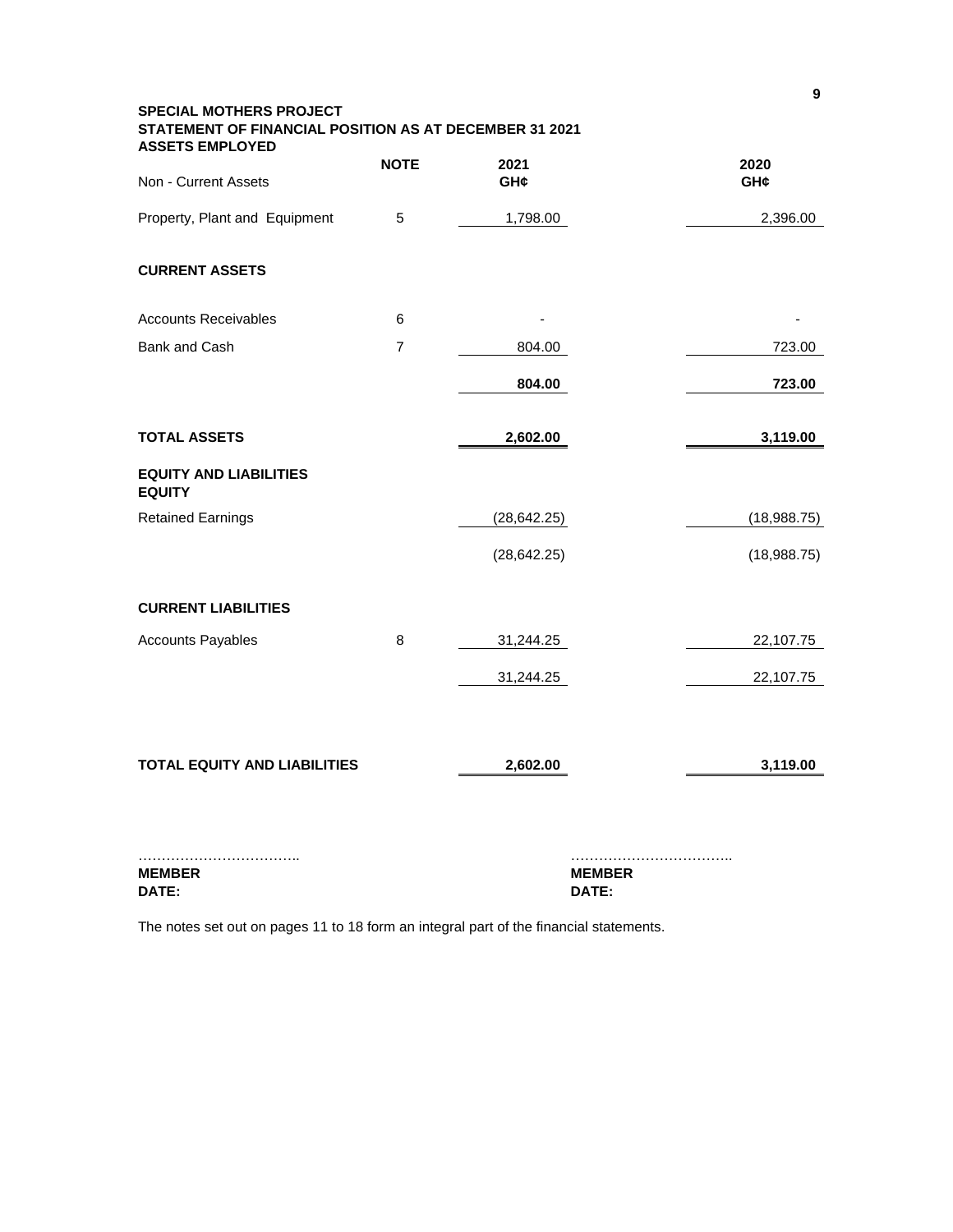| <b>SPECIAL MOTHERS PROJECT</b><br>STATEMENT OF FINANCIAL POSITION AS AT DECEMBER 31 2021<br><b>ASSETS EMPLOYED</b> |                |               |             |
|--------------------------------------------------------------------------------------------------------------------|----------------|---------------|-------------|
| Non - Current Assets                                                                                               | <b>NOTE</b>    | 2021<br>GH¢   | 2020<br>GH¢ |
| Property, Plant and Equipment                                                                                      | 5              | 1,798.00      | 2,396.00    |
| <b>CURRENT ASSETS</b>                                                                                              |                |               |             |
| <b>Accounts Receivables</b>                                                                                        | 6              |               |             |
| Bank and Cash                                                                                                      | $\overline{7}$ | 804.00        | 723.00      |
|                                                                                                                    |                | 804.00        | 723.00      |
| <b>TOTAL ASSETS</b>                                                                                                |                | 2,602.00      | 3,119.00    |
| <b>EQUITY AND LIABILITIES</b><br><b>EQUITY</b>                                                                     |                |               |             |
| <b>Retained Earnings</b>                                                                                           |                | (28, 642.25)  | (18,988.75) |
|                                                                                                                    |                | (28, 642.25)  | (18,988.75) |
| <b>CURRENT LIABILITIES</b>                                                                                         |                |               |             |
| <b>Accounts Payables</b>                                                                                           | 8              | 31,244.25     | 22,107.75   |
|                                                                                                                    |                | 31,244.25     | 22,107.75   |
| <b>TOTAL EQUITY AND LIABILITIES</b>                                                                                |                | 2,602.00      | 3,119.00    |
|                                                                                                                    |                |               |             |
| <b>MEMBER</b>                                                                                                      |                | <b>MEMBER</b> |             |

**DATE: DATE:**

The notes set out on pages 11 to 18 form an integral part of the financial statements.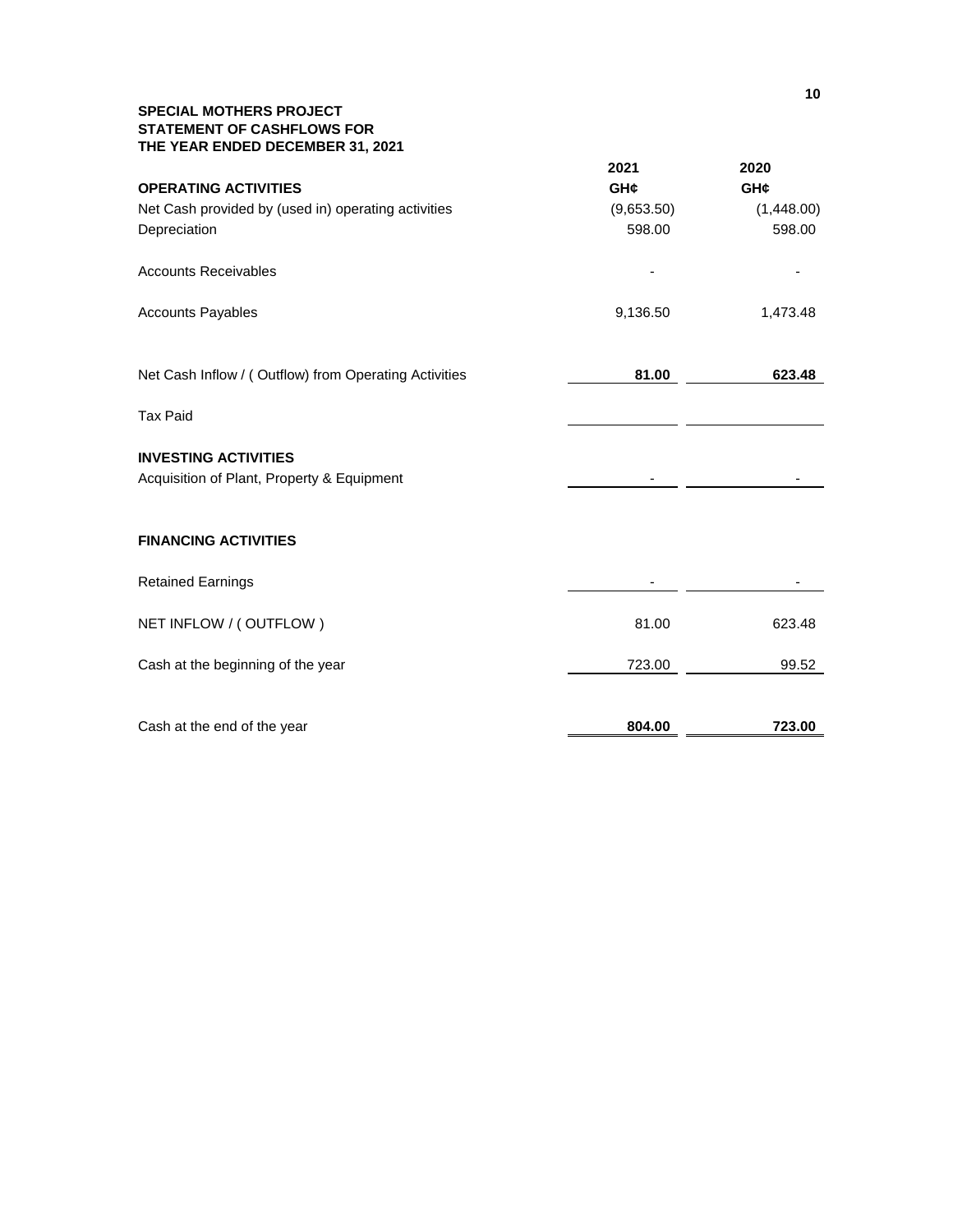# **SPECIAL MOTHERS PROJECT STATEMENT OF CASHFLOWS FOR THE YEAR ENDED DECEMBER 31, 2021**

| <b>OPERATING ACTIVITIES</b><br>Net Cash provided by (used in) operating activities<br>Depreciation | 2021<br>GH¢<br>(9,653.50)<br>598.00 | 2020<br>GH¢<br>(1,448.00)<br>598.00 |
|----------------------------------------------------------------------------------------------------|-------------------------------------|-------------------------------------|
| <b>Accounts Receivables</b>                                                                        |                                     |                                     |
| <b>Accounts Payables</b>                                                                           | 9,136.50                            | 1,473.48                            |
| Net Cash Inflow / (Outflow) from Operating Activities                                              | 81.00                               | 623.48                              |
| <b>Tax Paid</b>                                                                                    |                                     |                                     |
| <b>INVESTING ACTIVITIES</b><br>Acquisition of Plant, Property & Equipment                          |                                     |                                     |
| <b>FINANCING ACTIVITIES</b>                                                                        |                                     |                                     |
| <b>Retained Earnings</b>                                                                           |                                     |                                     |
| NET INFLOW / (OUTFLOW)                                                                             | 81.00                               | 623.48                              |
| Cash at the beginning of the year                                                                  | 723.00                              | 99.52                               |
| Cash at the end of the year                                                                        | 804.00                              | 723.00                              |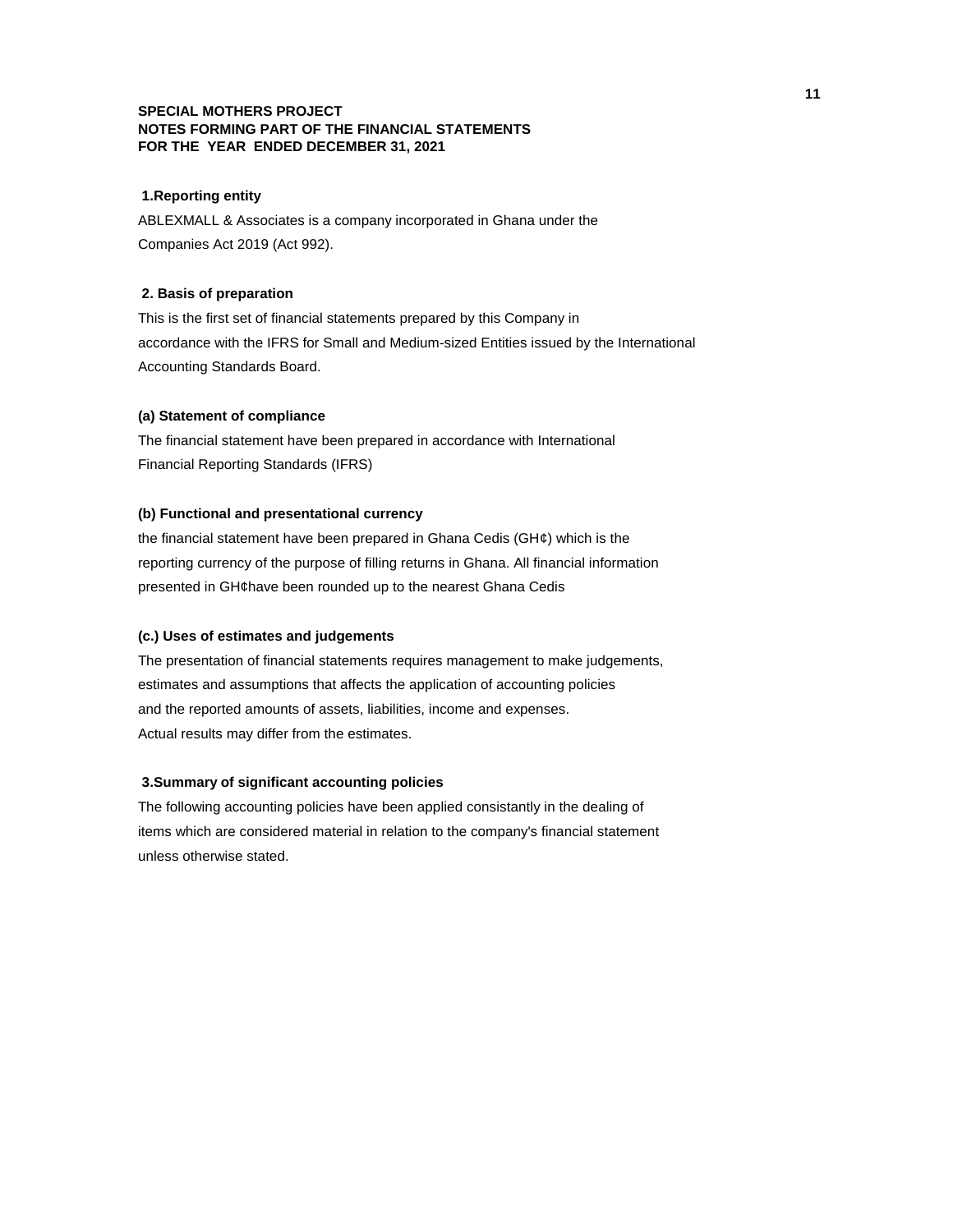## **SPECIAL MOTHERS PROJECT NOTES FORMING PART OF THE FINANCIAL STATEMENTS FOR THE YEAR ENDED DECEMBER 31, 2021**

#### **1.Reporting entity**

ABLEXMALL & Associates is a company incorporated in Ghana under the Companies Act 2019 (Act 992).

## **2. Basis of preparation**

This is the first set of financial statements prepared by this Company in accordance with the IFRS for Small and Medium-sized Entities issued by the International Accounting Standards Board.

#### **(a) Statement of compliance**

The financial statement have been prepared in accordance with International Financial Reporting Standards (IFRS)

# **(b) Functional and presentational currency**

the financial statement have been prepared in Ghana Cedis (GH¢) which is the reporting currency of the purpose of filling returns in Ghana. All financial information presented in GH¢have been rounded up to the nearest Ghana Cedis

### **(c.) Uses of estimates and judgements**

The presentation of financial statements requires management to make judgements, estimates and assumptions that affects the application of accounting policies and the reported amounts of assets, liabilities, income and expenses. Actual results may differ from the estimates.

#### **3.Summary of significant accounting policies**

The following accounting policies have been applied consistantly in the dealing of items which are considered material in relation to the company's financial statement unless otherwise stated.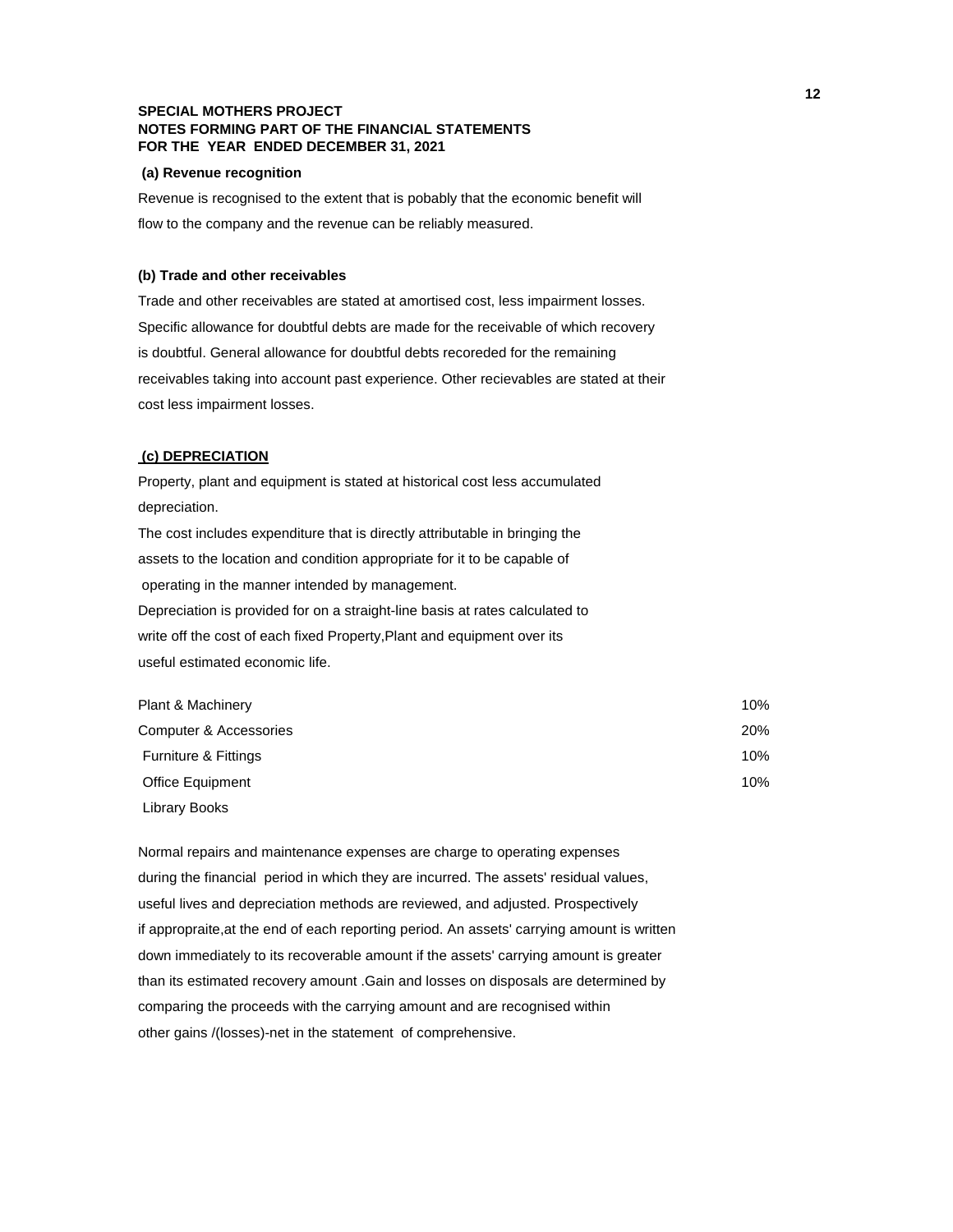## **SPECIAL MOTHERS PROJECT NOTES FORMING PART OF THE FINANCIAL STATEMENTS FOR THE YEAR ENDED DECEMBER 31, 2021**

#### **(a) Revenue recognition**

Revenue is recognised to the extent that is pobably that the economic benefit will flow to the company and the revenue can be reliably measured.

#### **(b) Trade and other receivables**

Trade and other receivables are stated at amortised cost, less impairment losses. Specific allowance for doubtful debts are made for the receivable of which recovery is doubtful. General allowance for doubtful debts recoreded for the remaining receivables taking into account past experience. Other recievables are stated at their cost less impairment losses.

#### **(c) DEPRECIATION**

Property, plant and equipment is stated at historical cost less accumulated depreciation. The cost includes expenditure that is directly attributable in bringing the assets to the location and condition appropriate for it to be capable of operating in the manner intended by management. Depreciation is provided for on a straight-line basis at rates calculated to write off the cost of each fixed Property,Plant and equipment over its useful estimated economic life.

| Plant & Machinery               | 10% |
|---------------------------------|-----|
| Computer & Accessories          | 20% |
| <b>Furniture &amp; Fittings</b> | 10% |
| Office Equipment                | 10% |
| Library Books                   |     |

Normal repairs and maintenance expenses are charge to operating expenses during the financial period in which they are incurred. The assets' residual values, useful lives and depreciation methods are reviewed, and adjusted. Prospectively if appropraite,at the end of each reporting period. An assets' carrying amount is written down immediately to its recoverable amount if the assets' carrying amount is greater than its estimated recovery amount .Gain and losses on disposals are determined by comparing the proceeds with the carrying amount and are recognised within other gains /(losses)-net in the statement of comprehensive.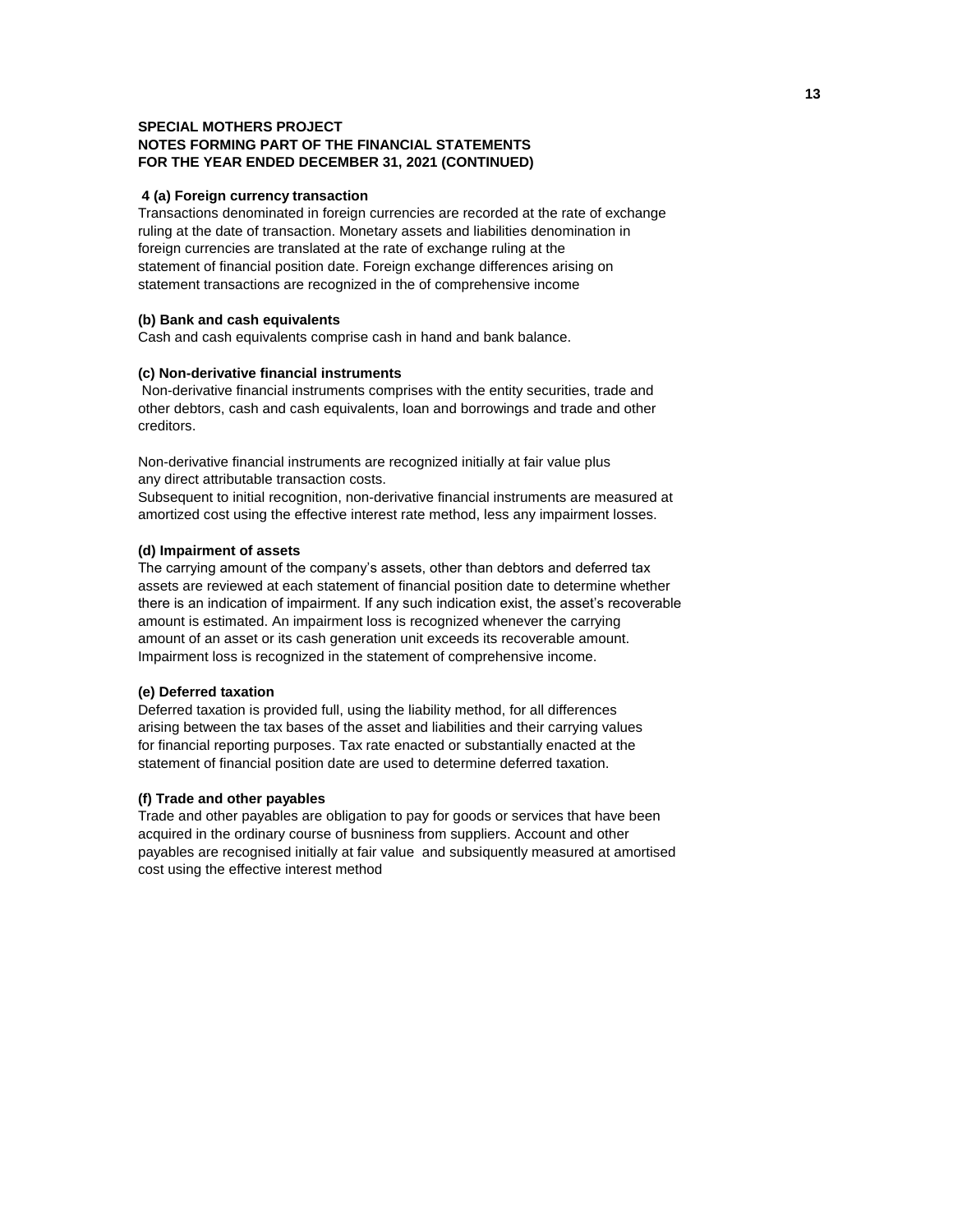## **SPECIAL MOTHERS PROJECT NOTES FORMING PART OF THE FINANCIAL STATEMENTS FOR THE YEAR ENDED DECEMBER 31, 2021 (CONTINUED)**

#### **4 (a) Foreign currency transaction**

Transactions denominated in foreign currencies are recorded at the rate of exchange ruling at the date of transaction. Monetary assets and liabilities denomination in foreign currencies are translated at the rate of exchange ruling at the statement of financial position date. Foreign exchange differences arising on statement transactions are recognized in the of comprehensive income

#### **(b) Bank and cash equivalents**

Cash and cash equivalents comprise cash in hand and bank balance.

#### **(c) Non-derivative financial instruments**

 Non-derivative financial instruments comprises with the entity securities, trade and other debtors, cash and cash equivalents, loan and borrowings and trade and other creditors.

Non-derivative financial instruments are recognized initially at fair value plus any direct attributable transaction costs.

Subsequent to initial recognition, non-derivative financial instruments are measured at amortized cost using the effective interest rate method, less any impairment losses.

# **(d) Impairment of assets**

The carrying amount of the company's assets, other than debtors and deferred tax assets are reviewed at each statement of financial position date to determine whether there is an indication of impairment. If any such indication exist, the asset's recoverable amount is estimated. An impairment loss is recognized whenever the carrying amount of an asset or its cash generation unit exceeds its recoverable amount. Impairment loss is recognized in the statement of comprehensive income.

#### **(e) Deferred taxation**

Deferred taxation is provided full, using the liability method, for all differences arising between the tax bases of the asset and liabilities and their carrying values for financial reporting purposes. Tax rate enacted or substantially enacted at the statement of financial position date are used to determine deferred taxation.

## **(f) Trade and other payables**

Trade and other payables are obligation to pay for goods or services that have been acquired in the ordinary course of busniness from suppliers. Account and other payables are recognised initially at fair value and subsiquently measured at amortised cost using the effective interest method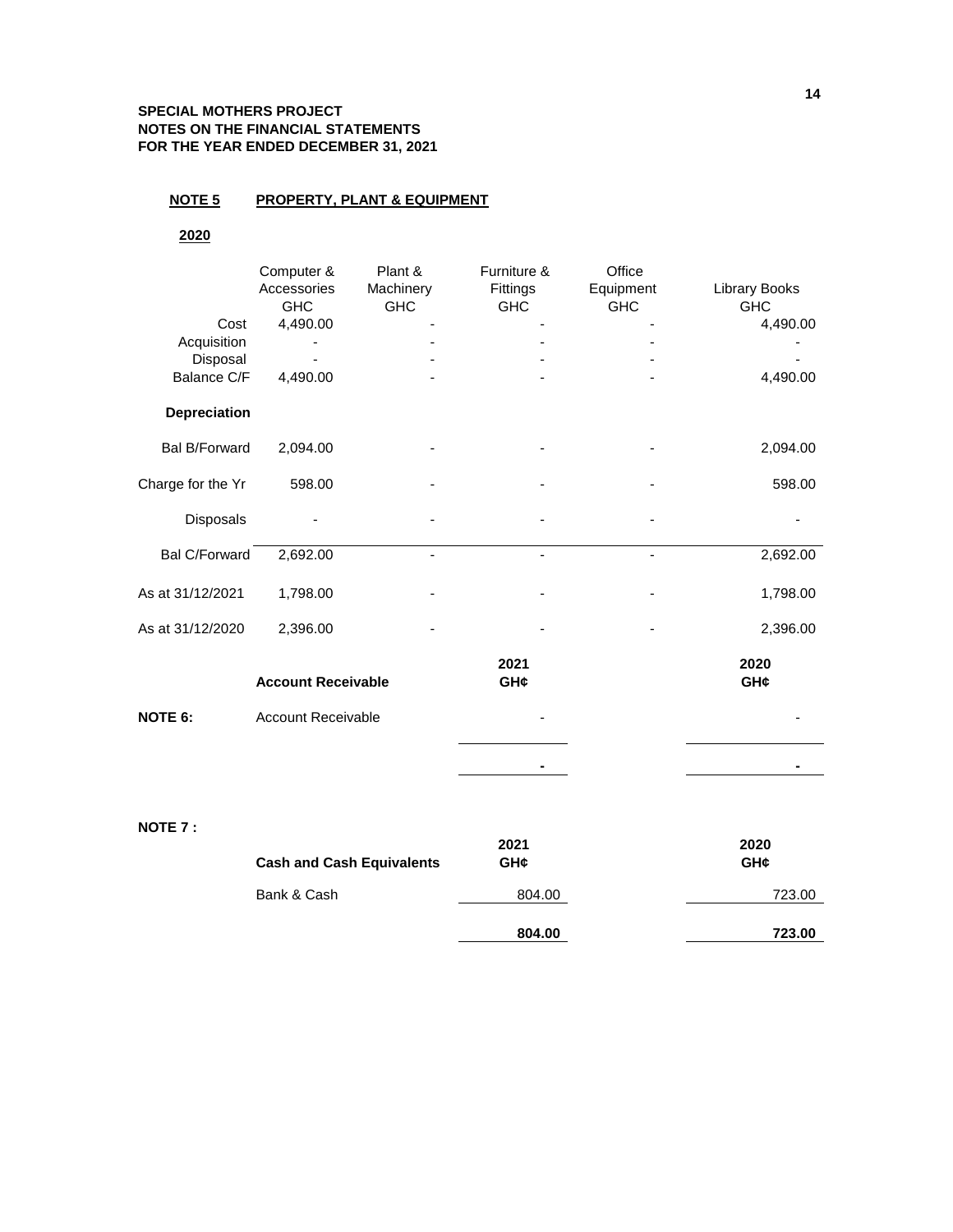# **SPECIAL MOTHERS PROJECT NOTES ON THE FINANCIAL STATEMENTS FOR THE YEAR ENDED DECEMBER 31, 2021**

# **NOTE 5 PROPERTY, PLANT & EQUIPMENT**

# **2020**

|                      | Computer &<br>Accessories<br><b>GHC</b> | Plant &<br>Machinery<br><b>GHC</b> | Furniture &<br>Fittings<br><b>GHC</b> | Office<br>Equipment<br><b>GHC</b> | Library Books<br><b>GHC</b> |
|----------------------|-----------------------------------------|------------------------------------|---------------------------------------|-----------------------------------|-----------------------------|
| Cost                 | 4,490.00                                |                                    |                                       |                                   | 4,490.00                    |
| Acquisition          |                                         |                                    |                                       |                                   |                             |
| Disposal             |                                         |                                    |                                       |                                   |                             |
| Balance C/F          | 4,490.00                                |                                    |                                       |                                   | 4,490.00                    |
| Depreciation         |                                         |                                    |                                       |                                   |                             |
| <b>Bal B/Forward</b> | 2,094.00                                |                                    |                                       |                                   | 2,094.00                    |
| Charge for the Yr    | 598.00                                  |                                    |                                       |                                   | 598.00                      |
| Disposals            |                                         |                                    |                                       |                                   |                             |
| <b>Bal C/Forward</b> | 2,692.00                                |                                    |                                       | -                                 | 2,692.00                    |
| As at 31/12/2021     | 1,798.00                                |                                    |                                       |                                   | 1,798.00                    |
| As at 31/12/2020     | 2,396.00                                |                                    |                                       |                                   | 2,396.00                    |
|                      | <b>Account Receivable</b>               |                                    | 2021<br>GH¢                           |                                   | 2020<br>GH¢                 |
| <b>NOTE 6:</b>       | <b>Account Receivable</b>               |                                    |                                       |                                   |                             |
|                      |                                         |                                    |                                       |                                   |                             |
|                      |                                         |                                    |                                       |                                   |                             |

# **NOTE 7 :**

| <b>Cash and Cash Equivalents</b> | 2021<br>GH¢ | 2020<br>GH¢ |
|----------------------------------|-------------|-------------|
| Bank & Cash                      | 804.00      | 723.00      |
|                                  | 804.00      | 723.00      |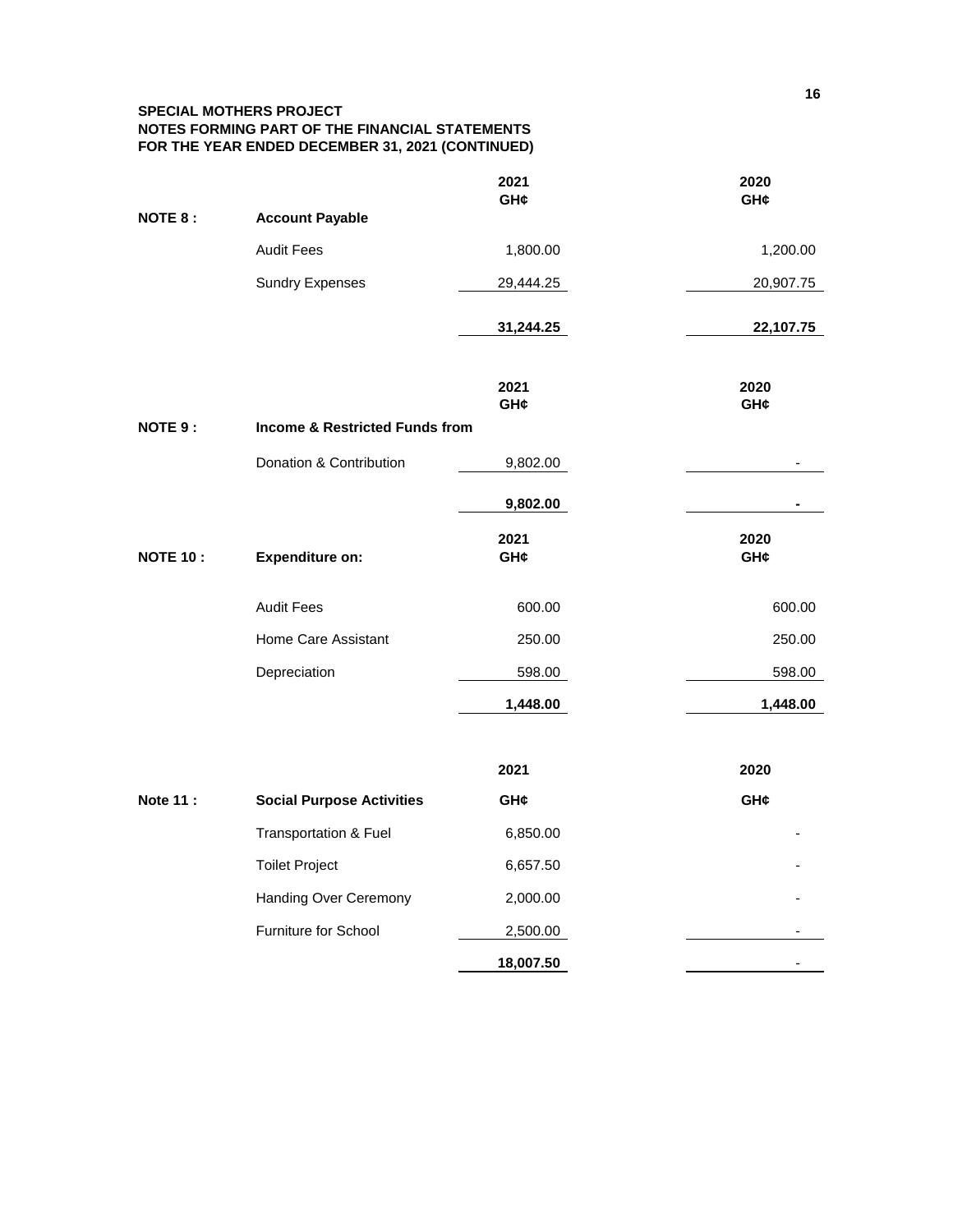# **SPECIAL MOTHERS PROJECT NOTES FORMING PART OF THE FINANCIAL STATEMENTS FOR THE YEAR ENDED DECEMBER 31, 2021 (CONTINUED)**

|                 |                                           | 2021<br>GH¢ | 2020<br>GH¢              |
|-----------------|-------------------------------------------|-------------|--------------------------|
| <b>NOTE 8:</b>  | <b>Account Payable</b>                    |             |                          |
|                 | <b>Audit Fees</b>                         | 1,800.00    | 1,200.00                 |
|                 | <b>Sundry Expenses</b>                    | 29,444.25   | 20,907.75                |
|                 |                                           | 31,244.25   | 22,107.75                |
|                 |                                           | 2021<br>GH¢ | 2020<br>GH¢              |
| <b>NOTE 9:</b>  | <b>Income &amp; Restricted Funds from</b> |             |                          |
|                 | Donation & Contribution                   | 9,802.00    |                          |
|                 |                                           | 9,802.00    |                          |
| <b>NOTE 10:</b> | <b>Expenditure on:</b>                    | 2021<br>GH¢ | 2020<br>GH¢              |
|                 | <b>Audit Fees</b>                         | 600.00      | 600.00                   |
|                 | Home Care Assistant                       | 250.00      | 250.00                   |
|                 | Depreciation                              | 598.00      | 598.00                   |
|                 |                                           | 1,448.00    | 1,448.00                 |
|                 |                                           | 2021        | 2020                     |
| <b>Note 11:</b> | <b>Social Purpose Activities</b>          | GH¢         | GH¢                      |
|                 | Transportation & Fuel                     | 6,850.00    |                          |
|                 | <b>Toilet Project</b>                     | 6,657.50    |                          |
|                 | Handing Over Ceremony                     | 2,000.00    |                          |
|                 | Furniture for School                      | 2,500.00    |                          |
|                 |                                           | 18,007.50   | $\overline{\phantom{a}}$ |